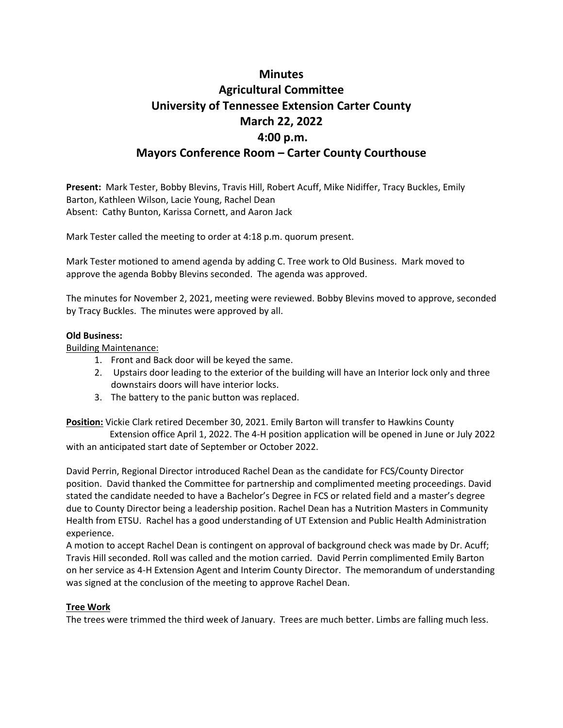# **Minutes Agricultural Committee University of Tennessee Extension Carter County March 22, 2022 4:00 p.m. Mayors Conference Room – Carter County Courthouse**

**Present:** Mark Tester, Bobby Blevins, Travis Hill, Robert Acuff, Mike Nidiffer, Tracy Buckles, Emily Barton, Kathleen Wilson, Lacie Young, Rachel Dean Absent: Cathy Bunton, Karissa Cornett, and Aaron Jack

Mark Tester called the meeting to order at 4:18 p.m. quorum present.

Mark Tester motioned to amend agenda by adding C. Tree work to Old Business. Mark moved to approve the agenda Bobby Blevins seconded. The agenda was approved.

The minutes for November 2, 2021, meeting were reviewed. Bobby Blevins moved to approve, seconded by Tracy Buckles. The minutes were approved by all.

#### **Old Business:**

Building Maintenance:

- 1. Front and Back door will be keyed the same.
- 2. Upstairs door leading to the exterior of the building will have an Interior lock only and three downstairs doors will have interior locks.
- 3. The battery to the panic button was replaced.

**Position:** Vickie Clark retired December 30, 2021. Emily Barton will transfer to Hawkins County Extension office April 1, 2022. The 4-H position application will be opened in June or July 2022

with an anticipated start date of September or October 2022.

David Perrin, Regional Director introduced Rachel Dean as the candidate for FCS/County Director position. David thanked the Committee for partnership and complimented meeting proceedings. David stated the candidate needed to have a Bachelor's Degree in FCS or related field and a master's degree due to County Director being a leadership position. Rachel Dean has a Nutrition Masters in Community Health from ETSU. Rachel has a good understanding of UT Extension and Public Health Administration experience.

A motion to accept Rachel Dean is contingent on approval of background check was made by Dr. Acuff; Travis Hill seconded. Roll was called and the motion carried. David Perrin complimented Emily Barton on her service as 4-H Extension Agent and Interim County Director. The memorandum of understanding was signed at the conclusion of the meeting to approve Rachel Dean.

#### **Tree Work**

The trees were trimmed the third week of January. Trees are much better. Limbs are falling much less.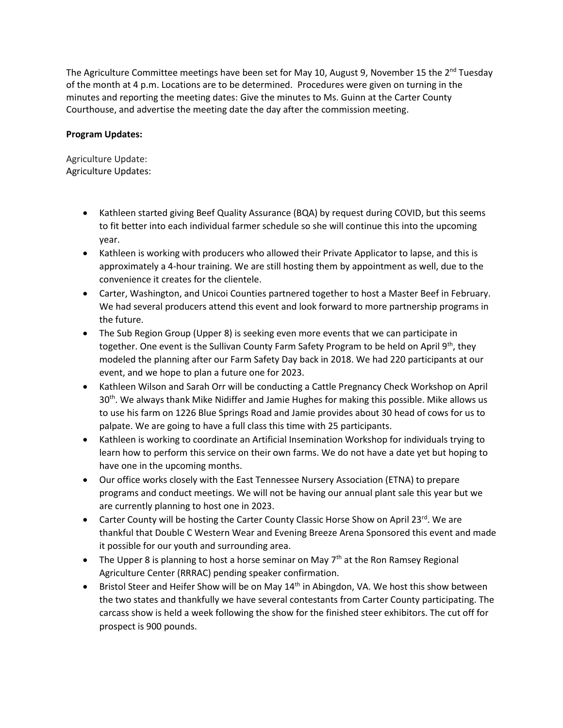The Agriculture Committee meetings have been set for May 10, August 9, November 15 the  $2^{nd}$  Tuesday of the month at 4 p.m. Locations are to be determined. Procedures were given on turning in the minutes and reporting the meeting dates: Give the minutes to Ms. Guinn at the Carter County Courthouse, and advertise the meeting date the day after the commission meeting.

### **Program Updates:**

Agriculture Update: Agriculture Updates:

- Kathleen started giving Beef Quality Assurance (BQA) by request during COVID, but this seems to fit better into each individual farmer schedule so she will continue this into the upcoming year.
- Kathleen is working with producers who allowed their Private Applicator to lapse, and this is approximately a 4-hour training. We are still hosting them by appointment as well, due to the convenience it creates for the clientele.
- Carter, Washington, and Unicoi Counties partnered together to host a Master Beef in February. We had several producers attend this event and look forward to more partnership programs in the future.
- The Sub Region Group (Upper 8) is seeking even more events that we can participate in together. One event is the Sullivan County Farm Safety Program to be held on April  $9<sup>th</sup>$ , they modeled the planning after our Farm Safety Day back in 2018. We had 220 participants at our event, and we hope to plan a future one for 2023.
- Kathleen Wilson and Sarah Orr will be conducting a Cattle Pregnancy Check Workshop on April 30<sup>th</sup>. We always thank Mike Nidiffer and Jamie Hughes for making this possible. Mike allows us to use his farm on 1226 Blue Springs Road and Jamie provides about 30 head of cows for us to palpate. We are going to have a full class this time with 25 participants.
- Kathleen is working to coordinate an Artificial Insemination Workshop for individuals trying to learn how to perform this service on their own farms. We do not have a date yet but hoping to have one in the upcoming months.
- Our office works closely with the East Tennessee Nursery Association (ETNA) to prepare programs and conduct meetings. We will not be having our annual plant sale this year but we are currently planning to host one in 2023.
- Carter County will be hosting the Carter County Classic Horse Show on April 23 $^{rd}$ . We are thankful that Double C Western Wear and Evening Breeze Arena Sponsored this event and made it possible for our youth and surrounding area.
- The Upper 8 is planning to host a horse seminar on May  $7<sup>th</sup>$  at the Ron Ramsey Regional Agriculture Center (RRRAC) pending speaker confirmation.
- Bristol Steer and Heifer Show will be on May 14<sup>th</sup> in Abingdon, VA. We host this show between the two states and thankfully we have several contestants from Carter County participating. The carcass show is held a week following the show for the finished steer exhibitors. The cut off for prospect is 900 pounds.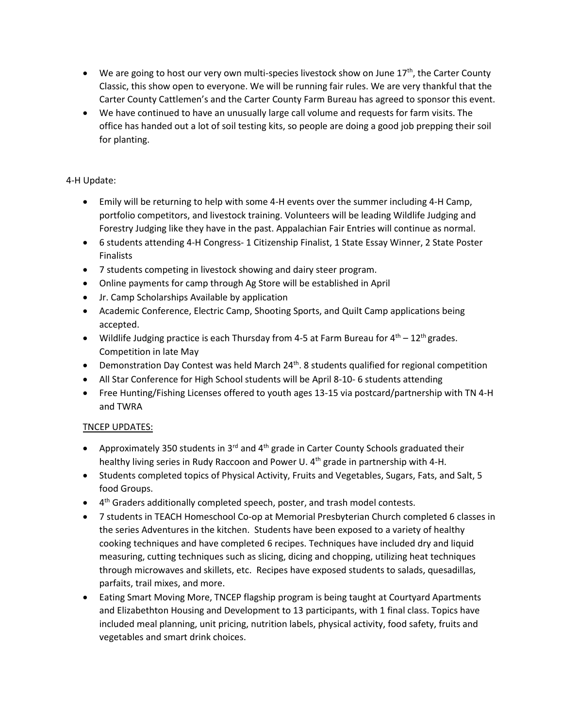- We are going to host our very own multi-species livestock show on June  $17<sup>th</sup>$ , the Carter County Classic, this show open to everyone. We will be running fair rules. We are very thankful that the Carter County Cattlemen's and the Carter County Farm Bureau has agreed to sponsor this event.
- We have continued to have an unusually large call volume and requests for farm visits. The office has handed out a lot of soil testing kits, so people are doing a good job prepping their soil for planting.

## 4-H Update:

- Emily will be returning to help with some 4-H events over the summer including 4-H Camp, portfolio competitors, and livestock training. Volunteers will be leading Wildlife Judging and Forestry Judging like they have in the past. Appalachian Fair Entries will continue as normal.
- 6 students attending 4-H Congress- 1 Citizenship Finalist, 1 State Essay Winner, 2 State Poster Finalists
- 7 students competing in livestock showing and dairy steer program.
- Online payments for camp through Ag Store will be established in April
- Jr. Camp Scholarships Available by application
- Academic Conference, Electric Camp, Shooting Sports, and Quilt Camp applications being accepted.
- Wildlife Judging practice is each Thursday from 4-5 at Farm Bureau for  $4<sup>th</sup> 12<sup>th</sup>$  grades. Competition in late May
- Demonstration Day Contest was held March  $24<sup>th</sup>$ . 8 students qualified for regional competition
- All Star Conference for High School students will be April 8-10- 6 students attending
- Free Hunting/Fishing Licenses offered to youth ages 13-15 via postcard/partnership with TN 4-H and TWRA

## TNCEP UPDATES:

- Approximately 350 students in 3<sup>rd</sup> and 4<sup>th</sup> grade in Carter County Schools graduated their healthy living series in Rudy Raccoon and Power U. 4<sup>th</sup> grade in partnership with 4-H.
- Students completed topics of Physical Activity, Fruits and Vegetables, Sugars, Fats, and Salt, 5 food Groups.
- 4<sup>th</sup> Graders additionally completed speech, poster, and trash model contests.
- 7 students in TEACH Homeschool Co-op at Memorial Presbyterian Church completed 6 classes in the series Adventures in the kitchen. Students have been exposed to a variety of healthy cooking techniques and have completed 6 recipes. Techniques have included dry and liquid measuring, cutting techniques such as slicing, dicing and chopping, utilizing heat techniques through microwaves and skillets, etc. Recipes have exposed students to salads, quesadillas, parfaits, trail mixes, and more.
- Eating Smart Moving More, TNCEP flagship program is being taught at Courtyard Apartments and Elizabethton Housing and Development to 13 participants, with 1 final class. Topics have included meal planning, unit pricing, nutrition labels, physical activity, food safety, fruits and vegetables and smart drink choices.